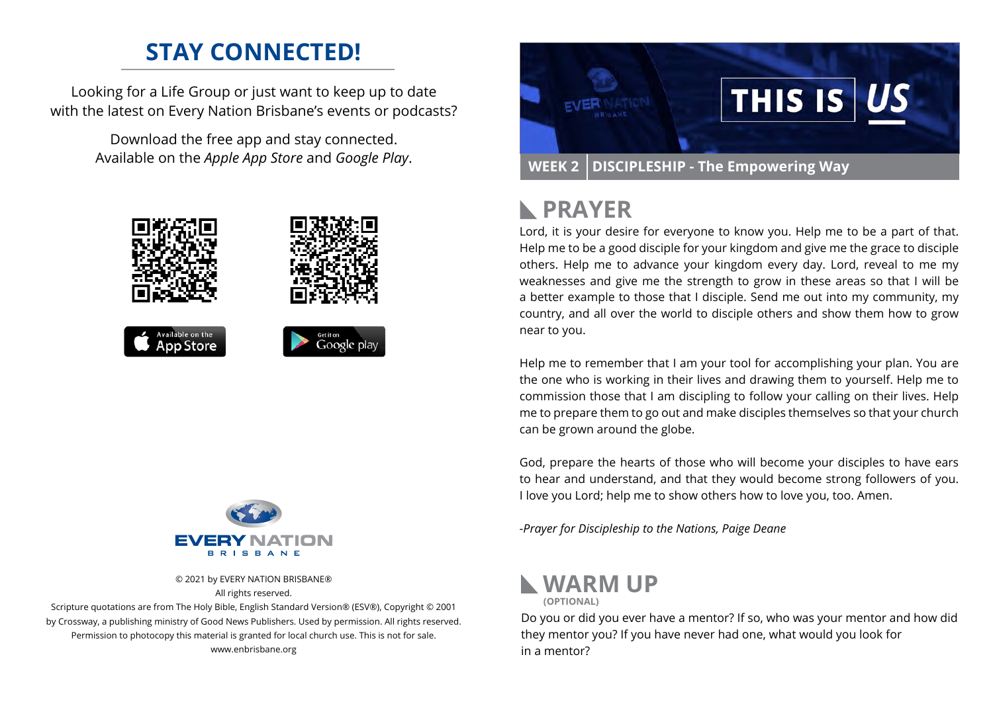## **STAY CONNECTED!**

Looking for a Life Group or just want to keep up to date with the latest on Every Nation Brisbane's events or podcasts?

> Download the free app and stay connected. Available on the *Apple App Store* and *Google Play*.





© 2021 by EVERY NATION BRISBANE® All rights reserved.

Scripture quotations are from The Holy Bible, English Standard Version® (ESV®), Copyright © 2001 by Crossway, a publishing ministry of Good News Publishers. Used by permission. All rights reserved. Permission to photocopy this material is granted for local church use. This is not for sale. www.enbrisbane.org



# **PRAYER**

Lord, it is your desire for everyone to know you. Help me to be a part of that. Help me to be a good disciple for your kingdom and give me the grace to disciple others. Help me to advance your kingdom every day. Lord, reveal to me my weaknesses and give me the strength to grow in these areas so that I will be a better example to those that I disciple. Send me out into my community, my country, and all over the world to disciple others and show them how to grow near to you.

Help me to remember that I am your tool for accomplishing your plan. You are the one who is working in their lives and drawing them to yourself. Help me to commission those that I am discipling to follow your calling on their lives. Help me to prepare them to go out and make disciples themselves so that your church can be grown around the globe.

God, prepare the hearts of those who will become your disciples to have ears to hear and understand, and that they would become strong followers of you. I love you Lord; help me to show others how to love you, too. Amen.

*-Prayer for Discipleship to the Nations, Paige Deane*



Do you or did you ever have a mentor? If so, who was your mentor and how did they mentor you? If you have never had one, what would you look for in a mentor?